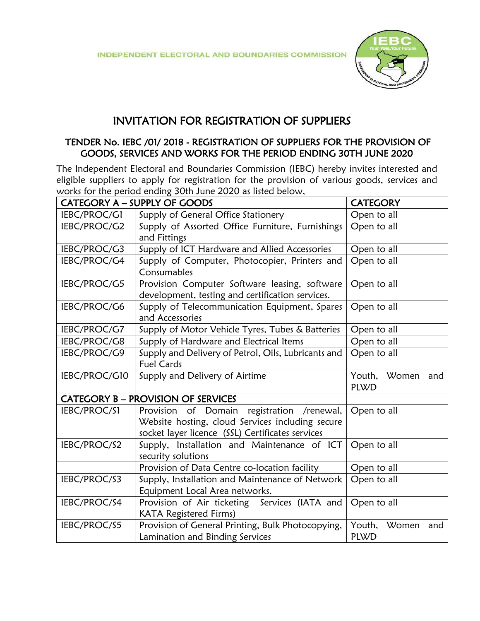

## INVITATION FOR REGISTRATION OF SUPPLIERS

## TENDER No. IEBC /01/ 2018 - REGISTRATION OF SUPPLIERS FOR THE PROVISION OF GOODS, SERVICES AND WORKS FOR THE PERIOD ENDING 30TH JUNE 2020

The Independent Electoral and Boundaries Commission (IEBC) hereby invites interested and eligible suppliers to apply for registration for the provision of various goods, services and works for the period ending 30th June 2020 as listed below,

| CATEGORY A - SUPPLY OF GOODS |                                                                                                                                                       | <b>CATEGORY</b>                       |
|------------------------------|-------------------------------------------------------------------------------------------------------------------------------------------------------|---------------------------------------|
| IEBC/PROC/G1                 | Supply of General Office Stationery                                                                                                                   | Open to all                           |
| IEBC/PROC/G2                 | Supply of Assorted Office Furniture, Furnishings<br>and Fittings                                                                                      | Open to all                           |
| IEBC/PROC/G3                 | Supply of ICT Hardware and Allied Accessories                                                                                                         | Open to all                           |
| IEBC/PROC/G4                 | Supply of Computer, Photocopier, Printers and<br>Consumables                                                                                          | Open to all                           |
| IEBC/PROC/G5                 | Provision Computer Software leasing, software<br>development, testing and certification services.                                                     | Open to all                           |
| IEBC/PROC/G6                 | Supply of Telecommunication Equipment, Spares<br>and Accessories                                                                                      | Open to all                           |
| IEBC/PROC/G7                 | Supply of Motor Vehicle Tyres, Tubes & Batteries                                                                                                      | Open to all                           |
| IEBC/PROC/G8                 | Supply of Hardware and Electrical Items                                                                                                               | Open to all                           |
| IEBC/PROC/G9                 | Supply and Delivery of Petrol, Oils, Lubricants and<br><b>Fuel Cards</b>                                                                              | Open to all                           |
|                              |                                                                                                                                                       |                                       |
| IEBC/PROC/G10                | Supply and Delivery of Airtime                                                                                                                        | Youth,<br>Women<br>and<br><b>PLWD</b> |
|                              | <b>CATEGORY B - PROVISION OF SERVICES</b>                                                                                                             |                                       |
| IEBC/PROC/S1                 | Provision of Domain<br>registration /renewal,<br>Website hosting, cloud Services including secure<br>socket layer licence (SSL) Certificates services | Open to all                           |
| IEBC/PROC/S2                 | Supply, Installation and Maintenance of ICT<br>security solutions                                                                                     | Open to all                           |
|                              | Provision of Data Centre co-location facility                                                                                                         | Open to all                           |
| IEBC/PROC/S3                 | Supply, Installation and Maintenance of Network<br>Equipment Local Area networks.                                                                     | Open to all                           |
| IEBC/PROC/S4                 | Provision of Air ticketing Services (IATA and<br><b>KATA Registered Firms)</b>                                                                        | Open to all                           |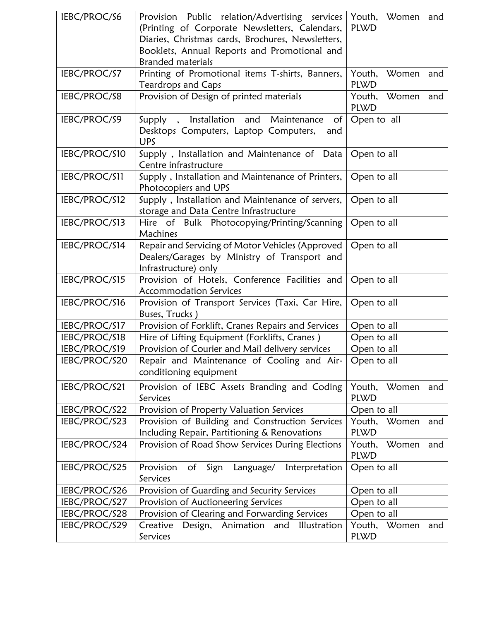| IEBC/PROC/S6  | Provision Public relation/Advertising services<br>(Printing of Corporate Newsletters, Calendars,<br>Diaries, Christmas cards, Brochures, Newsletters,<br>Booklets, Annual Reports and Promotional and<br><b>Branded materials</b> | Youth, Women and<br><b>PLWD</b>       |
|---------------|-----------------------------------------------------------------------------------------------------------------------------------------------------------------------------------------------------------------------------------|---------------------------------------|
| IEBC/PROC/S7  | Printing of Promotional items T-shirts, Banners,<br>Teardrops and Caps                                                                                                                                                            | Youth, Women and<br><b>PLWD</b>       |
| IEBC/PROC/S8  | Provision of Design of printed materials                                                                                                                                                                                          | Youth, Women and<br><b>PLWD</b>       |
| IEBC/PROC/S9  | Supply, Installation and Maintenance<br>of<br>Desktops Computers, Laptop Computers,<br>and<br><b>UPS</b>                                                                                                                          | Open to all                           |
| IEBC/PROC/S10 | Supply, Installation and Maintenance of Data<br>Centre infrastructure                                                                                                                                                             | Open to all                           |
| IEBC/PROC/S11 | Supply, Installation and Maintenance of Printers,<br>Photocopiers and UPS                                                                                                                                                         | Open to all                           |
| IEBC/PROC/S12 | Supply, Installation and Maintenance of servers,<br>storage and Data Centre Infrastructure                                                                                                                                        | Open to all                           |
| IEBC/PROC/S13 | Hire of Bulk Photocopying/Printing/Scanning<br>Machines                                                                                                                                                                           | Open to all                           |
| IEBC/PROC/S14 | Repair and Servicing of Motor Vehicles (Approved<br>Dealers/Garages by Ministry of Transport and<br>Infrastructure) only                                                                                                          | Open to all                           |
| IEBC/PROC/S15 | Provision of Hotels, Conference Facilities and<br><b>Accommodation Services</b>                                                                                                                                                   | Open to all                           |
| IEBC/PROC/S16 | Provision of Transport Services (Taxi, Car Hire,<br>Buses, Trucks)                                                                                                                                                                | Open to all                           |
| IEBC/PROC/S17 | Provision of Forklift, Cranes Repairs and Services                                                                                                                                                                                | Open to all                           |
| IEBC/PROC/S18 | Hire of Lifting Equipment (Forklifts, Cranes)                                                                                                                                                                                     | Open to all                           |
| IEBC/PROC/S19 | Provision of Courier and Mail delivery services                                                                                                                                                                                   | Open to all                           |
| IEBC/PROC/S20 | Repair and Maintenance of Cooling and Air-<br>conditioning equipment                                                                                                                                                              | Open to all                           |
| IEBC/PROC/S21 | Provision of IEBC Assets Branding and Coding<br>Services                                                                                                                                                                          | Women<br>Youth,<br>and<br><b>PLWD</b> |
| IEBC/PROC/S22 | Provision of Property Valuation Services                                                                                                                                                                                          | Open to all                           |
| IEBC/PROC/S23 | Provision of Building and Construction Services<br>Including Repair, Partitioning & Renovations                                                                                                                                   | Youth,<br>Women<br>and<br><b>PLWD</b> |
| IEBC/PROC/S24 | Provision of Road Show Services During Elections                                                                                                                                                                                  | Women<br>Youth,<br>and<br><b>PLWD</b> |
| IEBC/PROC/S25 | Provision of<br>Sign<br>Interpretation<br>Language/<br>Services                                                                                                                                                                   | Open to all                           |
| IEBC/PROC/S26 | Provision of Guarding and Security Services                                                                                                                                                                                       | Open to all                           |
| IEBC/PROC/S27 | Provision of Auctioneering Services                                                                                                                                                                                               | Open to all                           |
| IEBC/PROC/S28 | Provision of Clearing and Forwarding Services                                                                                                                                                                                     | Open to all                           |
| IEBC/PROC/S29 | Design, Animation<br>Creative<br>and<br>Illustration<br>Services                                                                                                                                                                  | Youth, Women<br>and<br><b>PLWD</b>    |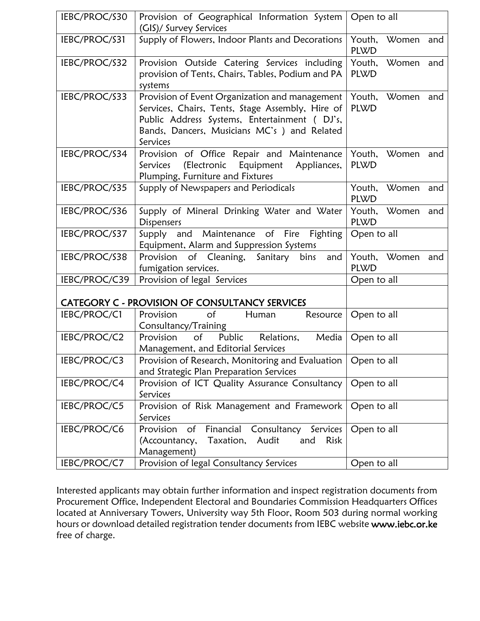| IEBC/PROC/S30 | Provision of Geographical Information System<br>(GIS)/ Survey Services                                                                                                                                         | Open to all                           |
|---------------|----------------------------------------------------------------------------------------------------------------------------------------------------------------------------------------------------------------|---------------------------------------|
| IEBC/PROC/S31 | Supply of Flowers, Indoor Plants and Decorations                                                                                                                                                               | Youth,<br>Women<br>and<br><b>PLWD</b> |
| IEBC/PROC/S32 | Provision Outside Catering Services including<br>provision of Tents, Chairs, Tables, Podium and PA<br>systems                                                                                                  | Youth, Women and<br><b>PLWD</b>       |
| IEBC/PROC/S33 | Provision of Event Organization and management<br>Services, Chairs, Tents, Stage Assembly, Hire of<br>Public Address Systems, Entertainment (DJ's,<br>Bands, Dancers, Musicians MC's ) and Related<br>Services | Youth,<br>Women<br>and<br><b>PLWD</b> |
| IEBC/PROC/S34 | Provision of Office Repair and Maintenance<br>(Electronic<br>Equipment<br>Appliances,<br>Services<br>Plumping, Furniture and Fixtures                                                                          | Youth,<br>Women<br>and<br><b>PLWD</b> |
| IEBC/PROC/S35 | Supply of Newspapers and Periodicals                                                                                                                                                                           | Youth,<br>Women<br>and<br><b>PLWD</b> |
| IEBC/PROC/S36 | Supply of Mineral Drinking Water and Water<br><b>Dispensers</b>                                                                                                                                                | Youth, Women and<br><b>PLWD</b>       |
| IEBC/PROC/S37 | Supply and Maintenance of Fire Fighting<br>Equipment, Alarm and Suppression Systems                                                                                                                            | Open to all                           |
| IEBC/PROC/S38 | Provision of Cleaning, Sanitary bins<br>and<br>fumigation services.                                                                                                                                            | Youth, Women<br>and<br><b>PLWD</b>    |
| IEBC/PROC/C39 | Provision of legal Services                                                                                                                                                                                    | Open to all                           |
|               | CATEGORY C - PROVISION OF CONSULTANCY SERVICES                                                                                                                                                                 |                                       |
| IEBC/PROC/C1  | Provision<br>$\circ$ f<br>Human<br>Resource<br>Consultancy/Training                                                                                                                                            | Open to all                           |
| IEBC/PROC/C2  | $\circ$ f<br>Public Relations,<br>Provision<br>Media<br>Management, and Editorial Services                                                                                                                     | Open to all                           |
| IEBC/PROC/C3  | Provision of Research, Monitoring and Evaluation   Open to all<br>and Strategic Plan Preparation Services                                                                                                      |                                       |
| IEBC/PROC/C4  | Provision of ICT Quality Assurance Consultancy<br>Services                                                                                                                                                     | Open to all                           |
| IEBC/PROC/C5  | Provision of Risk Management and Framework<br>Services                                                                                                                                                         | Open to all                           |
| IEBC/PROC/C6  | Financial Consultancy<br>Provision of<br>Services<br>Taxation,<br>(Accountancy,<br>Audit<br>and<br><b>Risk</b><br>Management)                                                                                  | Open to all                           |
| IEBC/PROC/C7  | Provision of legal Consultancy Services                                                                                                                                                                        | Open to all                           |

Interested applicants may obtain further information and inspect registration documents from Procurement Office, Independent Electoral and Boundaries Commission Headquarters Offices located at Anniversary Towers, University way 5th Floor, Room 503 during normal working hours or download detailed registration tender documents from IEBC website www.iebc.or.ke free of charge.